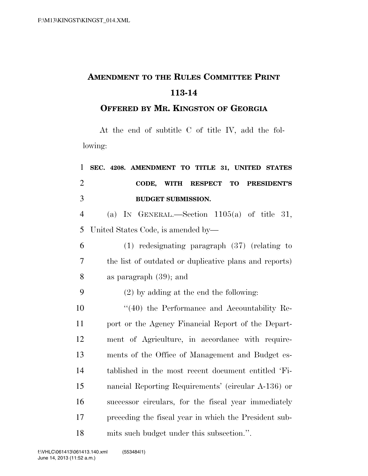## **AMENDMENT TO THE RULES COMMITTEE PRINT 113-14**

**OFFERED BY MR. KINGSTON OF GEORGIA**

At the end of subtitle C of title IV, add the following:

| $\mathbf{1}$   | SEC. 4208. AMENDMENT TO TITLE 31, UNITED STATES        |
|----------------|--------------------------------------------------------|
| $\overline{2}$ | RESPECT TO PRESIDENT'S<br>CODE,<br>WITH                |
| 3              | <b>BUDGET SUBMISSION.</b>                              |
| $\overline{4}$ | (a) IN GENERAL.—Section $1105(a)$ of title 31,         |
| 5              | United States Code, is amended by—                     |
| 6              | $(1)$ redesignating paragraph $(37)$ (relating to      |
| $\overline{7}$ | the list of outdated or duplicative plans and reports) |
| 8              | as paragraph $(39)$ ; and                              |
| 9              | $(2)$ by adding at the end the following:              |
| 10             | $\cdot$ (40) the Performance and Accountability Re-    |
| 11             | port or the Agency Financial Report of the Depart-     |
| 12             | ment of Agriculture, in accordance with require-       |
| 13             | ments of the Office of Management and Budget es-       |
| 14             | tablished in the most recent document entitled 'Fi-    |
| 15             | nancial Reporting Requirements' (circular A-136) or    |
| 16             | successor circulars, for the fiscal year immediately   |
| 17             | preceding the fiscal year in which the President sub-  |
| 18             | mits such budget under this subsection.".              |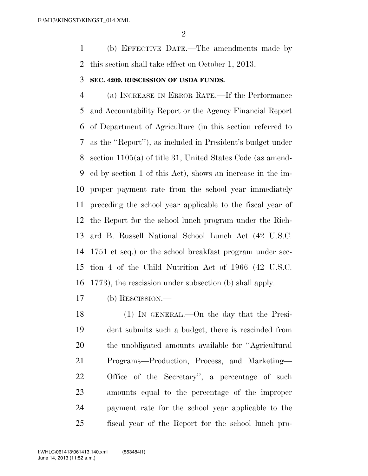(b) EFFECTIVE DATE.—The amendments made by this section shall take effect on October 1, 2013.

## **SEC. 4209. RESCISSION OF USDA FUNDS.**

 (a) INCREASE IN ERROR RATE.—If the Performance and Accountability Report or the Agency Financial Report of Department of Agriculture (in this section referred to as the ''Report''), as included in President's budget under section 1105(a) of title 31, United States Code (as amend- ed by section 1 of this Act), shows an increase in the im- proper payment rate from the school year immediately preceding the school year applicable to the fiscal year of the Report for the school lunch program under the Rich- ard B. Russell National School Lunch Act (42 U.S.C. 1751 et seq.) or the school breakfast program under sec- tion 4 of the Child Nutrition Act of 1966 (42 U.S.C. 1773), the rescission under subsection (b) shall apply.

(b) RESCISSION.—

 (1) IN GENERAL.—On the day that the Presi- dent submits such a budget, there is rescinded from the unobligated amounts available for ''Agricultural Programs—Production, Process, and Marketing— Office of the Secretary'', a percentage of such amounts equal to the percentage of the improper payment rate for the school year applicable to the fiscal year of the Report for the school lunch pro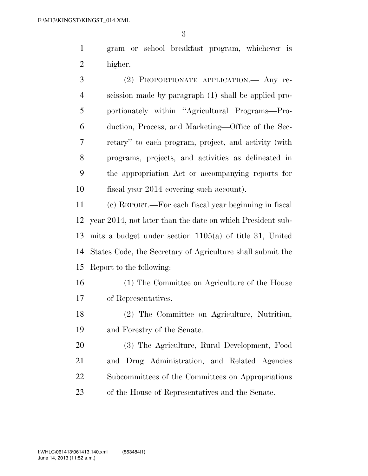gram or school breakfast program, whichever is higher.

 (2) PROPORTIONATE APPLICATION.— Any re- scission made by paragraph (1) shall be applied pro- portionately within ''Agricultural Programs—Pro- duction, Process, and Marketing—Office of the Sec- retary'' to each program, project, and activity (with programs, projects, and activities as delineated in the appropriation Act or accompanying reports for fiscal year 2014 covering such account).

 (c) REPORT.—For each fiscal year beginning in fiscal year 2014, not later than the date on which President sub- mits a budget under section 1105(a) of title 31, United States Code, the Secretary of Agriculture shall submit the Report to the following:

- (1) The Committee on Agriculture of the House of Representatives.
- (2) The Committee on Agriculture, Nutrition, and Forestry of the Senate.

 (3) The Agriculture, Rural Development, Food and Drug Administration, and Related Agencies Subcommittees of the Committees on Appropriations of the House of Representatives and the Senate.